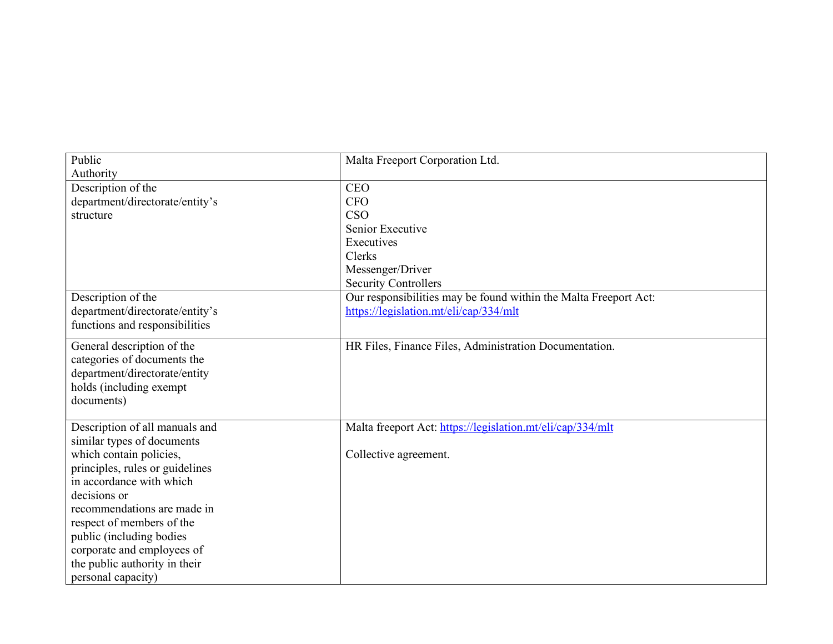| Public                          | Malta Freeport Corporation Ltd.                                  |
|---------------------------------|------------------------------------------------------------------|
| Authority                       |                                                                  |
| Description of the              | <b>CEO</b>                                                       |
| department/directorate/entity's | <b>CFO</b>                                                       |
| structure                       | CSO                                                              |
|                                 | Senior Executive                                                 |
|                                 | Executives                                                       |
|                                 | Clerks                                                           |
|                                 | Messenger/Driver                                                 |
|                                 | <b>Security Controllers</b>                                      |
| Description of the              | Our responsibilities may be found within the Malta Freeport Act: |
| department/directorate/entity's | https://legislation.mt/eli/cap/334/mlt                           |
| functions and responsibilities  |                                                                  |
| General description of the      | HR Files, Finance Files, Administration Documentation.           |
| categories of documents the     |                                                                  |
| department/directorate/entity   |                                                                  |
| holds (including exempt         |                                                                  |
| documents)                      |                                                                  |
| Description of all manuals and  | Malta freeport Act: https://legislation.mt/eli/cap/334/mlt       |
| similar types of documents      |                                                                  |
| which contain policies,         | Collective agreement.                                            |
| principles, rules or guidelines |                                                                  |
| in accordance with which        |                                                                  |
| decisions or                    |                                                                  |
| recommendations are made in     |                                                                  |
| respect of members of the       |                                                                  |
| public (including bodies        |                                                                  |
| corporate and employees of      |                                                                  |
| the public authority in their   |                                                                  |
| personal capacity)              |                                                                  |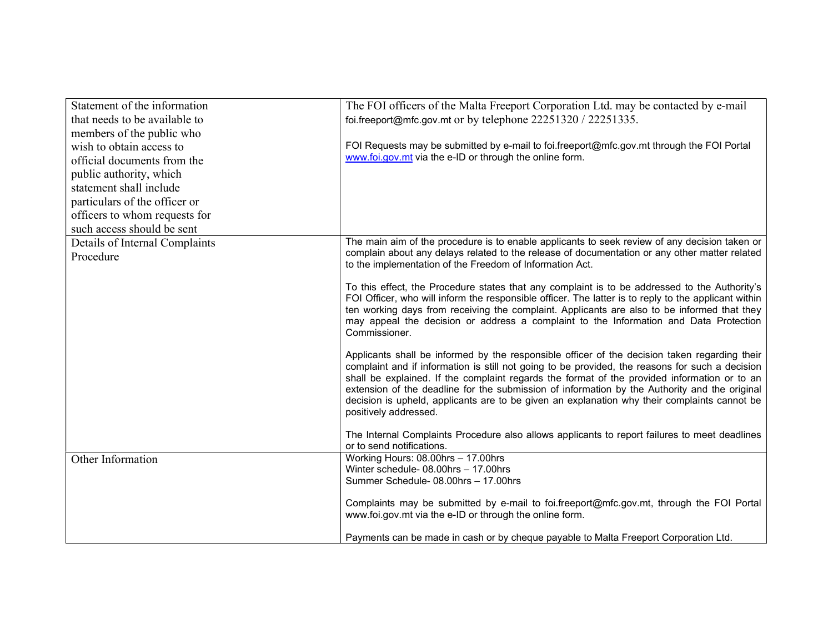| Statement of the information   | The FOI officers of the Malta Freeport Corporation Ltd. may be contacted by e-mail                                                                                                              |
|--------------------------------|-------------------------------------------------------------------------------------------------------------------------------------------------------------------------------------------------|
| that needs to be available to  | foi.freeport@mfc.gov.mt or by telephone 22251320 / 22251335.                                                                                                                                    |
| members of the public who      |                                                                                                                                                                                                 |
| wish to obtain access to       | FOI Requests may be submitted by e-mail to foi.freeport@mfc.gov.mt through the FOI Portal                                                                                                       |
| official documents from the    | www.foi.gov.mt via the e-ID or through the online form.                                                                                                                                         |
| public authority, which        |                                                                                                                                                                                                 |
| statement shall include        |                                                                                                                                                                                                 |
| particulars of the officer or  |                                                                                                                                                                                                 |
| officers to whom requests for  |                                                                                                                                                                                                 |
| such access should be sent     |                                                                                                                                                                                                 |
| Details of Internal Complaints | The main aim of the procedure is to enable applicants to seek review of any decision taken or                                                                                                   |
| Procedure                      | complain about any delays related to the release of documentation or any other matter related<br>to the implementation of the Freedom of Information Act.                                       |
|                                |                                                                                                                                                                                                 |
|                                | To this effect, the Procedure states that any complaint is to be addressed to the Authority's                                                                                                   |
|                                | FOI Officer, who will inform the responsible officer. The latter is to reply to the applicant within                                                                                            |
|                                | ten working days from receiving the complaint. Applicants are also to be informed that they<br>may appeal the decision or address a complaint to the Information and Data Protection            |
|                                | Commissioner.                                                                                                                                                                                   |
|                                |                                                                                                                                                                                                 |
|                                | Applicants shall be informed by the responsible officer of the decision taken regarding their                                                                                                   |
|                                | complaint and if information is still not going to be provided, the reasons for such a decision<br>shall be explained. If the complaint regards the format of the provided information or to an |
|                                | extension of the deadline for the submission of information by the Authority and the original                                                                                                   |
|                                | decision is upheld, applicants are to be given an explanation why their complaints cannot be                                                                                                    |
|                                | positively addressed.                                                                                                                                                                           |
|                                | The Internal Complaints Procedure also allows applicants to report failures to meet deadlines                                                                                                   |
|                                | or to send notifications.                                                                                                                                                                       |
| Other Information              | Working Hours: 08.00hrs - 17.00hrs                                                                                                                                                              |
|                                | Winter schedule- 08.00hrs - 17.00hrs                                                                                                                                                            |
|                                | Summer Schedule- 08.00hrs - 17.00hrs                                                                                                                                                            |
|                                | Complaints may be submitted by e-mail to foi.freeport@mfc.gov.mt, through the FOI Portal                                                                                                        |
|                                | www.foi.gov.mt via the e-ID or through the online form.                                                                                                                                         |
|                                |                                                                                                                                                                                                 |
|                                | Payments can be made in cash or by cheque payable to Malta Freeport Corporation Ltd.                                                                                                            |